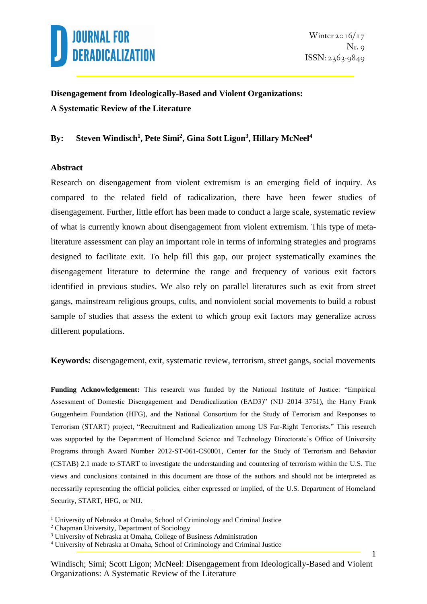

## **Disengagement from Ideologically-Based and Violent Organizations: A Systematic Review of the Literature**

### **By: Steven Windisch<sup>1</sup> , Pete Simi<sup>2</sup> , Gina Sott Ligon<sup>3</sup> , Hillary McNeel<sup>4</sup>**

#### **Abstract**

Research on disengagement from violent extremism is an emerging field of inquiry. As compared to the related field of radicalization, there have been fewer studies of disengagement. Further, little effort has been made to conduct a large scale, systematic review of what is currently known about disengagement from violent extremism. This type of metaliterature assessment can play an important role in terms of informing strategies and programs designed to facilitate exit. To help fill this gap, our project systematically examines the disengagement literature to determine the range and frequency of various exit factors identified in previous studies. We also rely on parallel literatures such as exit from street gangs, mainstream religious groups, cults, and nonviolent social movements to build a robust sample of studies that assess the extent to which group exit factors may generalize across different populations.

**Keywords:** disengagement, exit, systematic review, terrorism, street gangs, social movements

**Funding Acknowledgement:** This research was funded by the National Institute of Justice: "Empirical Assessment of Domestic Disengagement and Deradicalization (EAD3)" (NIJ–2014–3751), the Harry Frank Guggenheim Foundation (HFG), and the National Consortium for the Study of Terrorism and Responses to Terrorism (START) project, "Recruitment and Radicalization among US Far-Right Terrorists." This research was supported by the Department of Homeland Science and Technology Directorate's Office of University Programs through Award Number 2012-ST-061-CS0001, Center for the Study of Terrorism and Behavior (CSTAB) 2.1 made to START to investigate the understanding and countering of terrorism within the U.S. The views and conclusions contained in this document are those of the authors and should not be interpreted as necessarily representing the official policies, either expressed or implied, of the U.S. Department of Homeland Security, START, HFG, or NIJ.

<u>.</u>

<sup>&</sup>lt;sup>1</sup> University of Nebraska at Omaha, School of Criminology and Criminal Justice

<sup>2</sup> Chapman University, Department of Sociology

<sup>3</sup> University of Nebraska at Omaha, College of Business Administration

<sup>4</sup> University of Nebraska at Omaha, School of Criminology and Criminal Justice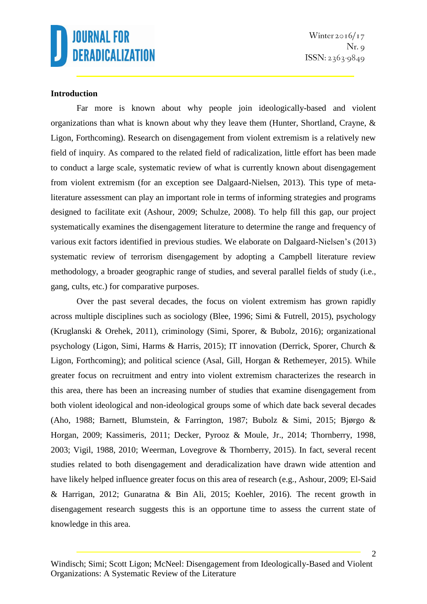

Winter  $2016/17$  $Nr. \circ$  $ISSN: 2363-9849$ 

### **Introduction**

Far more is known about why people join ideologically-based and violent organizations than what is known about why they leave them (Hunter, Shortland, Crayne, & Ligon, Forthcoming). Research on disengagement from violent extremism is a relatively new field of inquiry. As compared to the related field of radicalization, little effort has been made to conduct a large scale, systematic review of what is currently known about disengagement from violent extremism (for an exception see Dalgaard-Nielsen, 2013). This type of metaliterature assessment can play an important role in terms of informing strategies and programs designed to facilitate exit (Ashour, 2009; Schulze, 2008). To help fill this gap, our project systematically examines the disengagement literature to determine the range and frequency of various exit factors identified in previous studies. We elaborate on Dalgaard-Nielsen's (2013) systematic review of terrorism disengagement by adopting a Campbell literature review methodology, a broader geographic range of studies, and several parallel fields of study (i.e., gang, cults, etc.) for comparative purposes.

Over the past several decades, the focus on violent extremism has grown rapidly across multiple disciplines such as sociology (Blee, 1996; Simi & Futrell, 2015), psychology (Kruglanski & Orehek, 2011), criminology (Simi, Sporer, & Bubolz, 2016); organizational psychology (Ligon, Simi, Harms & Harris, 2015); IT innovation (Derrick, Sporer, Church & Ligon, Forthcoming); and political science (Asal, Gill, Horgan & Rethemeyer, 2015). While greater focus on recruitment and entry into violent extremism characterizes the research in this area, there has been an increasing number of studies that examine disengagement from both violent ideological and non-ideological groups some of which date back several decades (Aho, 1988; Barnett, Blumstein, & Farrington, 1987; Bubolz & Simi, 2015; Bjørgo & Horgan, 2009; Kassimeris, 2011; Decker, Pyrooz & Moule, Jr., 2014; Thornberry, 1998, 2003; Vigil, 1988, 2010; Weerman, Lovegrove & Thornberry, 2015). In fact, several recent studies related to both disengagement and deradicalization have drawn wide attention and have likely helped influence greater focus on this area of research (e.g., Ashour, 2009; El-Said & Harrigan, 2012; Gunaratna & Bin Ali, 2015; Koehler, 2016). The recent growth in disengagement research suggests this is an opportune time to assess the current state of knowledge in this area.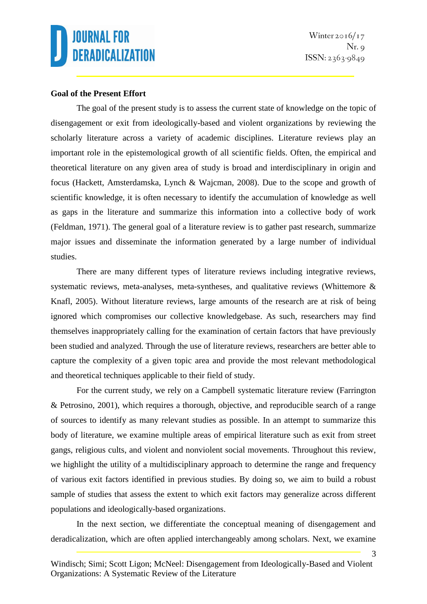Winter  $2016/17$  $Nr.$   $\circ$  $ISSN: 2363-9849$ 

3

### **Goal of the Present Effort**

The goal of the present study is to assess the current state of knowledge on the topic of disengagement or exit from ideologically-based and violent organizations by reviewing the scholarly literature across a variety of academic disciplines. Literature reviews play an important role in the epistemological growth of all scientific fields. Often, the empirical and theoretical literature on any given area of study is broad and interdisciplinary in origin and focus (Hackett, Amsterdamska, Lynch & Wajcman, 2008). Due to the scope and growth of scientific knowledge, it is often necessary to identify the accumulation of knowledge as well as gaps in the literature and summarize this information into a collective body of work (Feldman, 1971). The general goal of a literature review is to gather past research, summarize major issues and disseminate the information generated by a large number of individual studies.

There are many different types of literature reviews including integrative reviews, systematic reviews, meta-analyses, meta-syntheses, and qualitative reviews (Whittemore & Knafl, 2005). Without literature reviews, large amounts of the research are at risk of being ignored which compromises our collective knowledgebase. As such, researchers may find themselves inappropriately calling for the examination of certain factors that have previously been studied and analyzed. Through the use of literature reviews, researchers are better able to capture the complexity of a given topic area and provide the most relevant methodological and theoretical techniques applicable to their field of study.

For the current study, we rely on a Campbell systematic literature review (Farrington & Petrosino, 2001), which requires a thorough, objective, and reproducible search of a range of sources to identify as many relevant studies as possible. In an attempt to summarize this body of literature, we examine multiple areas of empirical literature such as exit from street gangs, religious cults, and violent and nonviolent social movements. Throughout this review, we highlight the utility of a multidisciplinary approach to determine the range and frequency of various exit factors identified in previous studies. By doing so, we aim to build a robust sample of studies that assess the extent to which exit factors may generalize across different populations and ideologically-based organizations.

In the next section, we differentiate the conceptual meaning of disengagement and deradicalization, which are often applied interchangeably among scholars. Next, we examine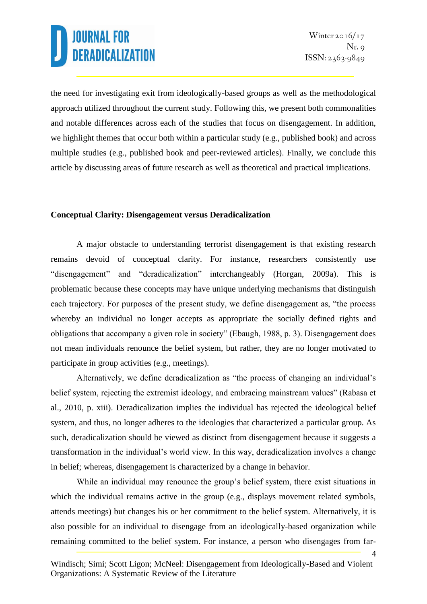4

the need for investigating exit from ideologically-based groups as well as the methodological approach utilized throughout the current study. Following this, we present both commonalities and notable differences across each of the studies that focus on disengagement. In addition, we highlight themes that occur both within a particular study (e.g., published book) and across multiple studies (e.g., published book and peer-reviewed articles). Finally, we conclude this article by discussing areas of future research as well as theoretical and practical implications.

### **Conceptual Clarity: Disengagement versus Deradicalization**

A major obstacle to understanding terrorist disengagement is that existing research remains devoid of conceptual clarity. For instance, researchers consistently use "disengagement" and "deradicalization" interchangeably (Horgan, 2009a). This is problematic because these concepts may have unique underlying mechanisms that distinguish each trajectory. For purposes of the present study, we define disengagement as, "the process whereby an individual no longer accepts as appropriate the socially defined rights and obligations that accompany a given role in society" (Ebaugh, 1988, p. 3). Disengagement does not mean individuals renounce the belief system, but rather, they are no longer motivated to participate in group activities (e.g., meetings).

Alternatively, we define deradicalization as "the process of changing an individual's belief system, rejecting the extremist ideology, and embracing mainstream values" (Rabasa et al., 2010, p. xiii). Deradicalization implies the individual has rejected the ideological belief system, and thus, no longer adheres to the ideologies that characterized a particular group. As such, deradicalization should be viewed as distinct from disengagement because it suggests a transformation in the individual's world view. In this way, deradicalization involves a change in belief; whereas, disengagement is characterized by a change in behavior.

While an individual may renounce the group's belief system, there exist situations in which the individual remains active in the group (e.g., displays movement related symbols, attends meetings) but changes his or her commitment to the belief system. Alternatively, it is also possible for an individual to disengage from an ideologically-based organization while remaining committed to the belief system. For instance, a person who disengages from far-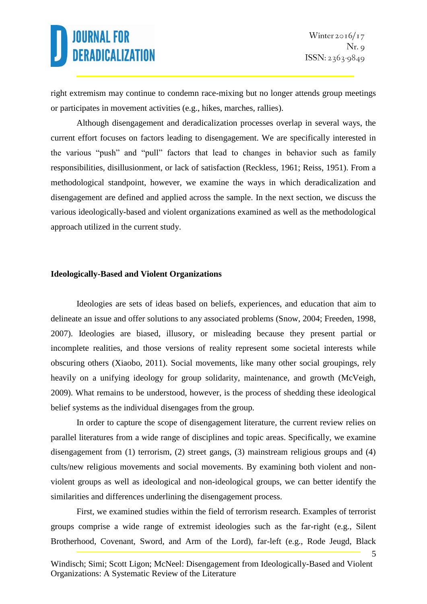5

right extremism may continue to condemn race-mixing but no longer attends group meetings or participates in movement activities (e.g., hikes, marches, rallies).

Although disengagement and deradicalization processes overlap in several ways, the current effort focuses on factors leading to disengagement. We are specifically interested in the various "push" and "pull" factors that lead to changes in behavior such as family responsibilities, disillusionment, or lack of satisfaction (Reckless, 1961; Reiss, 1951). From a methodological standpoint, however, we examine the ways in which deradicalization and disengagement are defined and applied across the sample. In the next section, we discuss the various ideologically-based and violent organizations examined as well as the methodological approach utilized in the current study.

### **Ideologically-Based and Violent Organizations**

Ideologies are sets of ideas based on beliefs, experiences, and education that aim to delineate an issue and offer solutions to any associated problems (Snow, 2004; Freeden, 1998, 2007). Ideologies are biased, illusory, or misleading because they present partial or incomplete realities, and those versions of reality represent some societal interests while obscuring others (Xiaobo, 2011). Social movements, like many other social groupings, rely heavily on a unifying ideology for group solidarity, maintenance, and growth (McVeigh, 2009). What remains to be understood, however, is the process of shedding these ideological belief systems as the individual disengages from the group.

In order to capture the scope of disengagement literature, the current review relies on parallel literatures from a wide range of disciplines and topic areas. Specifically, we examine disengagement from (1) terrorism, (2) street gangs, (3) mainstream religious groups and (4) cults/new religious movements and social movements. By examining both violent and nonviolent groups as well as ideological and non-ideological groups, we can better identify the similarities and differences underlining the disengagement process.

First, we examined studies within the field of terrorism research. Examples of terrorist groups comprise a wide range of extremist ideologies such as the far-right (e.g., Silent Brotherhood, Covenant, Sword, and Arm of the Lord), far-left (e.g., Rode Jeugd, Black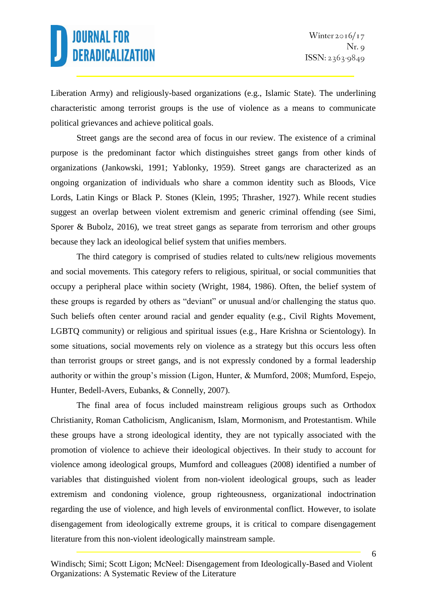Liberation Army) and religiously-based organizations (e.g., Islamic State). The underlining characteristic among terrorist groups is the use of violence as a means to communicate political grievances and achieve political goals.

Street gangs are the second area of focus in our review. The existence of a criminal purpose is the predominant factor which distinguishes street gangs from other kinds of organizations (Jankowski, 1991; Yablonky, 1959). Street gangs are characterized as an ongoing organization of individuals who share a common identity such as Bloods, Vice Lords, Latin Kings or Black P. Stones (Klein, 1995; Thrasher, 1927). While recent studies suggest an overlap between violent extremism and generic criminal offending (see Simi, Sporer & Bubolz, 2016), we treat street gangs as separate from terrorism and other groups because they lack an ideological belief system that unifies members.

The third category is comprised of studies related to cults/new religious movements and social movements. This category refers to religious, spiritual, or social communities that occupy a peripheral place within society (Wright, 1984, 1986). Often, the belief system of these groups is regarded by others as "deviant" or unusual and/or challenging the status quo. Such beliefs often center around racial and gender equality (e.g., Civil Rights Movement, LGBTQ community) or religious and spiritual issues (e.g., Hare Krishna or Scientology). In some situations, social movements rely on violence as a strategy but this occurs less often than terrorist groups or street gangs, and is not expressly condoned by a formal leadership authority or within the group's mission (Ligon, Hunter, & Mumford, 2008; Mumford, Espejo, Hunter, Bedell-Avers, Eubanks, & Connelly, 2007).

The final area of focus included mainstream religious groups such as Orthodox Christianity, Roman Catholicism, Anglicanism, Islam, Mormonism, and Protestantism. While these groups have a strong ideological identity, they are not typically associated with the promotion of violence to achieve their ideological objectives. In their study to account for violence among ideological groups, Mumford and colleagues (2008) identified a number of variables that distinguished violent from non-violent ideological groups, such as leader extremism and condoning violence, group righteousness, organizational indoctrination regarding the use of violence, and high levels of environmental conflict. However, to isolate disengagement from ideologically extreme groups, it is critical to compare disengagement literature from this non-violent ideologically mainstream sample.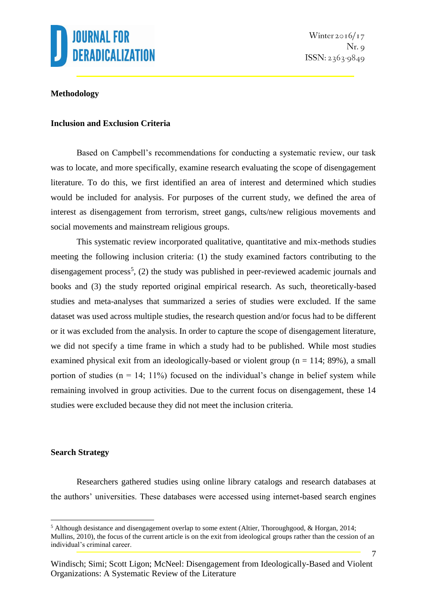

### **Methodology**

### **Inclusion and Exclusion Criteria**

Based on Campbell's recommendations for conducting a systematic review, our task was to locate, and more specifically, examine research evaluating the scope of disengagement literature. To do this, we first identified an area of interest and determined which studies would be included for analysis. For purposes of the current study, we defined the area of interest as disengagement from terrorism, street gangs, cults/new religious movements and social movements and mainstream religious groups.

This systematic review incorporated qualitative, quantitative and mix-methods studies meeting the following inclusion criteria: (1) the study examined factors contributing to the disengagement process<sup>5</sup>, (2) the study was published in peer-reviewed academic journals and books and (3) the study reported original empirical research. As such, theoretically-based studies and meta-analyses that summarized a series of studies were excluded. If the same dataset was used across multiple studies, the research question and/or focus had to be different or it was excluded from the analysis. In order to capture the scope of disengagement literature, we did not specify a time frame in which a study had to be published. While most studies examined physical exit from an ideologically-based or violent group ( $n = 114$ ; 89%), a small portion of studies ( $n = 14$ ; 11%) focused on the individual's change in belief system while remaining involved in group activities. Due to the current focus on disengagement, these 14 studies were excluded because they did not meet the inclusion criteria.

#### **Search Strategy**

1

Researchers gathered studies using online library catalogs and research databases at the authors' universities. These databases were accessed using internet-based search engines

<sup>5</sup> Although desistance and disengagement overlap to some extent (Altier, Thoroughgood, & Horgan, 2014; Mullins, 2010), the focus of the current article is on the exit from ideological groups rather than the cession of an individual's criminal career.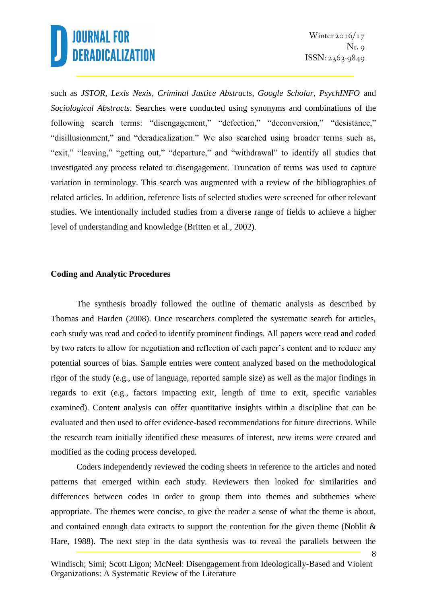8

such as *JSTOR, Lexis Nexis, Criminal Justice Abstracts, Google Scholar, PsychINFO* and *Sociological Abstracts*. Searches were conducted using synonyms and combinations of the following search terms: "disengagement," "defection," "deconversion," "desistance," "disillusionment," and "deradicalization." We also searched using broader terms such as, "exit," "leaving," "getting out," "departure," and "withdrawal" to identify all studies that investigated any process related to disengagement. Truncation of terms was used to capture variation in terminology. This search was augmented with a review of the bibliographies of related articles. In addition, reference lists of selected studies were screened for other relevant studies. We intentionally included studies from a diverse range of fields to achieve a higher level of understanding and knowledge (Britten et al., 2002).

### **Coding and Analytic Procedures**

The synthesis broadly followed the outline of thematic analysis as described by Thomas and Harden (2008). Once researchers completed the systematic search for articles, each study was read and coded to identify prominent findings. All papers were read and coded by two raters to allow for negotiation and reflection of each paper's content and to reduce any potential sources of bias. Sample entries were content analyzed based on the methodological rigor of the study (e.g., use of language, reported sample size) as well as the major findings in regards to exit (e.g., factors impacting exit, length of time to exit, specific variables examined). Content analysis can offer quantitative insights within a discipline that can be evaluated and then used to offer evidence-based recommendations for future directions. While the research team initially identified these measures of interest, new items were created and modified as the coding process developed.

Coders independently reviewed the coding sheets in reference to the articles and noted patterns that emerged within each study. Reviewers then looked for similarities and differences between codes in order to group them into themes and subthemes where appropriate. The themes were concise, to give the reader a sense of what the theme is about, and contained enough data extracts to support the contention for the given theme (Noblit & Hare, 1988). The next step in the data synthesis was to reveal the parallels between the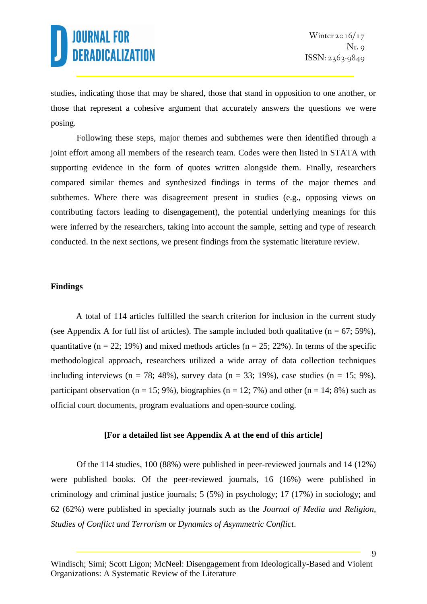studies, indicating those that may be shared, those that stand in opposition to one another, or those that represent a cohesive argument that accurately answers the questions we were posing.

Following these steps, major themes and subthemes were then identified through a joint effort among all members of the research team. Codes were then listed in STATA with supporting evidence in the form of quotes written alongside them. Finally, researchers compared similar themes and synthesized findings in terms of the major themes and subthemes. Where there was disagreement present in studies (e.g., opposing views on contributing factors leading to disengagement), the potential underlying meanings for this were inferred by the researchers, taking into account the sample, setting and type of research conducted. In the next sections, we present findings from the systematic literature review.

### **Findings**

A total of 114 articles fulfilled the search criterion for inclusion in the current study (see Appendix A for full list of articles). The sample included both qualitative ( $n = 67$ ; 59%), quantitative ( $n = 22$ ; 19%) and mixed methods articles ( $n = 25$ ; 22%). In terms of the specific methodological approach, researchers utilized a wide array of data collection techniques including interviews (n = 78; 48%), survey data (n = 33; 19%), case studies (n = 15; 9%), participant observation ( $n = 15$ ; 9%), biographies ( $n = 12$ ; 7%) and other ( $n = 14$ ; 8%) such as official court documents, program evaluations and open-source coding.

### **[For a detailed list see Appendix A at the end of this article]**

Of the 114 studies, 100 (88%) were published in peer-reviewed journals and 14 (12%) were published books. Of the peer-reviewed journals, 16 (16%) were published in criminology and criminal justice journals; 5 (5%) in psychology; 17 (17%) in sociology; and 62 (62%) were published in specialty journals such as the *Journal of Media and Religion, Studies of Conflict and Terrorism* or *Dynamics of Asymmetric Conflict*.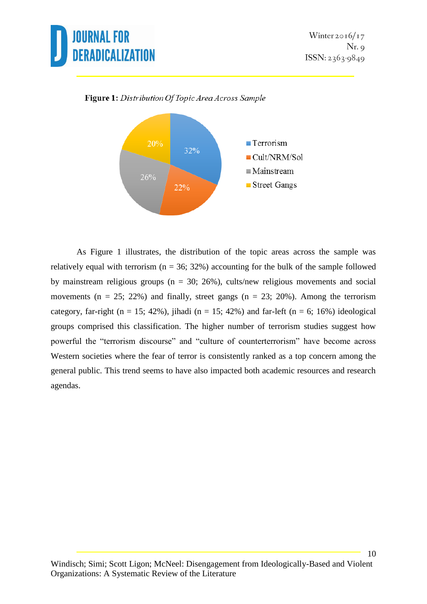



Figure 1: Distribution Of Topic Area Across Sample

As Figure 1 illustrates, the distribution of the topic areas across the sample was relatively equal with terrorism ( $n = 36$ ; 32%) accounting for the bulk of the sample followed by mainstream religious groups ( $n = 30$ ; 26%), cults/new religious movements and social movements ( $n = 25$ ; 22%) and finally, street gangs ( $n = 23$ ; 20%). Among the terrorism category, far-right (n = 15; 42%), jihadi (n = 15; 42%) and far-left (n = 6; 16%) ideological groups comprised this classification. The higher number of terrorism studies suggest how powerful the "terrorism discourse" and "culture of counterterrorism" have become across Western societies where the fear of terror is consistently ranked as a top concern among the general public. This trend seems to have also impacted both academic resources and research agendas.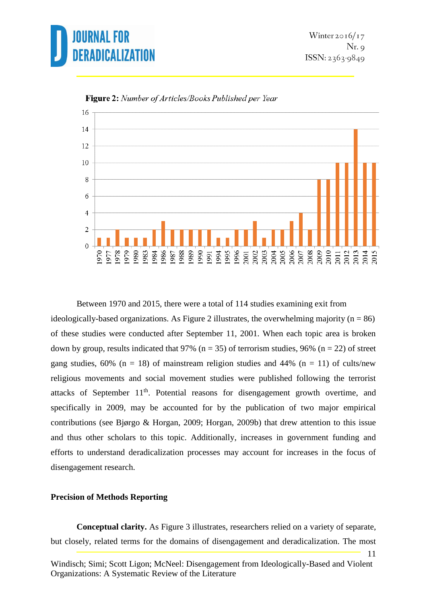



Figure 2: Number of Articles/Books Published per Year

Between 1970 and 2015, there were a total of 114 studies examining exit from ideologically-based organizations. As Figure 2 illustrates, the overwhelming majority ( $n = 86$ ) of these studies were conducted after September 11, 2001. When each topic area is broken down by group, results indicated that 97% ( $n = 35$ ) of terrorism studies, 96% ( $n = 22$ ) of street gang studies,  $60\%$  (n = 18) of mainstream religion studies and 44% (n = 11) of cults/new religious movements and social movement studies were published following the terrorist attacks of September  $11<sup>th</sup>$ . Potential reasons for disengagement growth overtime, and specifically in 2009, may be accounted for by the publication of two major empirical contributions (see Bjørgo & Horgan, 2009; Horgan, 2009b) that drew attention to this issue and thus other scholars to this topic. Additionally, increases in government funding and efforts to understand deradicalization processes may account for increases in the focus of disengagement research.

#### **Precision of Methods Reporting**

**Conceptual clarity.** As Figure 3 illustrates, researchers relied on a variety of separate, but closely, related terms for the domains of disengagement and deradicalization. The most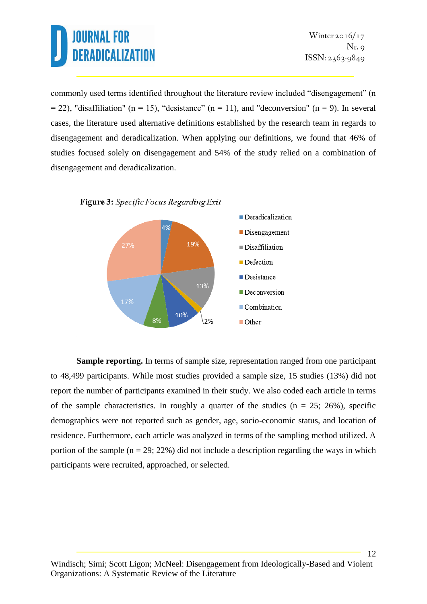12

commonly used terms identified throughout the literature review included "disengagement" (n  $= 22$ ), "disaffiliation" (n = 15), "desistance" (n = 11), and "deconversion" (n = 9). In several cases, the literature used alternative definitions established by the research team in regards to disengagement and deradicalization. When applying our definitions, we found that 46% of studies focused solely on disengagement and 54% of the study relied on a combination of disengagement and deradicalization.





**Sample reporting.** In terms of sample size, representation ranged from one participant to 48,499 participants. While most studies provided a sample size, 15 studies (13%) did not report the number of participants examined in their study. We also coded each article in terms of the sample characteristics. In roughly a quarter of the studies ( $n = 25$ ; 26%), specific demographics were not reported such as gender, age, socio-economic status, and location of residence. Furthermore, each article was analyzed in terms of the sampling method utilized. A portion of the sample  $(n = 29; 22%)$  did not include a description regarding the ways in which participants were recruited, approached, or selected.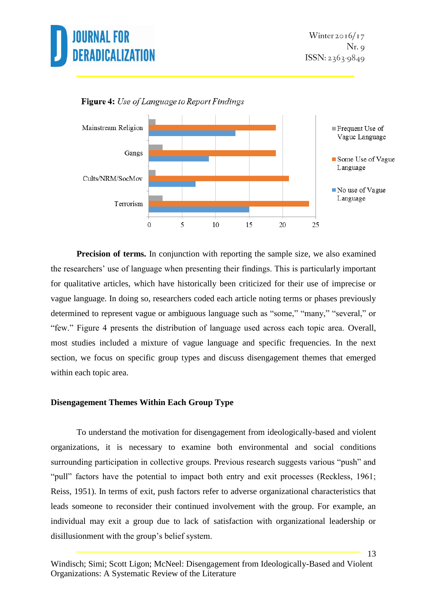



Figure 4: Use of Language to Report Findings

**Precision of terms.** In conjunction with reporting the sample size, we also examined the researchers' use of language when presenting their findings. This is particularly important for qualitative articles, which have historically been criticized for their use of imprecise or vague language. In doing so, researchers coded each article noting terms or phases previously determined to represent vague or ambiguous language such as "some," "many," "several," or "few." Figure 4 presents the distribution of language used across each topic area. Overall, most studies included a mixture of vague language and specific frequencies. In the next section, we focus on specific group types and discuss disengagement themes that emerged within each topic area.

### **Disengagement Themes Within Each Group Type**

To understand the motivation for disengagement from ideologically-based and violent organizations, it is necessary to examine both environmental and social conditions surrounding participation in collective groups. Previous research suggests various "push" and "pull" factors have the potential to impact both entry and exit processes (Reckless, 1961; Reiss, 1951). In terms of exit, push factors refer to adverse organizational characteristics that leads someone to reconsider their continued involvement with the group. For example, an individual may exit a group due to lack of satisfaction with organizational leadership or disillusionment with the group's belief system.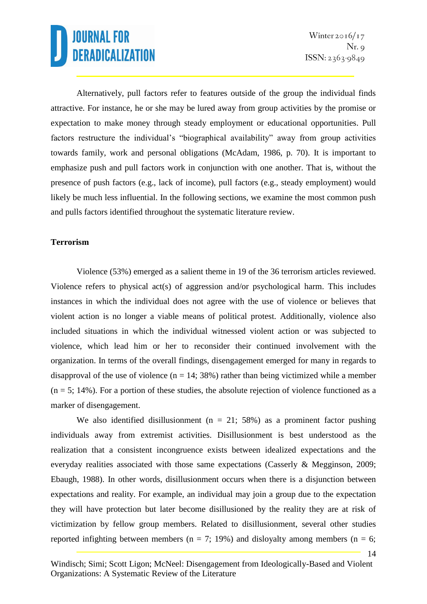14

Alternatively, pull factors refer to features outside of the group the individual finds attractive. For instance, he or she may be lured away from group activities by the promise or expectation to make money through steady employment or educational opportunities. Pull factors restructure the individual's "biographical availability" away from group activities towards family, work and personal obligations (McAdam, 1986, p. 70). It is important to emphasize push and pull factors work in conjunction with one another. That is, without the presence of push factors (e.g., lack of income), pull factors (e.g., steady employment) would likely be much less influential. In the following sections, we examine the most common push and pulls factors identified throughout the systematic literature review.

### **Terrorism**

Violence (53%) emerged as a salient theme in 19 of the 36 terrorism articles reviewed. Violence refers to physical act(s) of aggression and/or psychological harm. This includes instances in which the individual does not agree with the use of violence or believes that violent action is no longer a viable means of political protest. Additionally, violence also included situations in which the individual witnessed violent action or was subjected to violence, which lead him or her to reconsider their continued involvement with the organization. In terms of the overall findings, disengagement emerged for many in regards to disapproval of the use of violence  $(n = 14; 38%)$  rather than being victimized while a member  $(n = 5; 14\%)$ . For a portion of these studies, the absolute rejection of violence functioned as a marker of disengagement.

We also identified disillusionment ( $n = 21$ ; 58%) as a prominent factor pushing individuals away from extremist activities. Disillusionment is best understood as the realization that a consistent incongruence exists between idealized expectations and the everyday realities associated with those same expectations (Casserly & Megginson, 2009; Ebaugh, 1988). In other words, disillusionment occurs when there is a disjunction between expectations and reality. For example, an individual may join a group due to the expectation they will have protection but later become disillusioned by the reality they are at risk of victimization by fellow group members. Related to disillusionment, several other studies reported infighting between members ( $n = 7$ ; 19%) and disloyalty among members ( $n = 6$ ;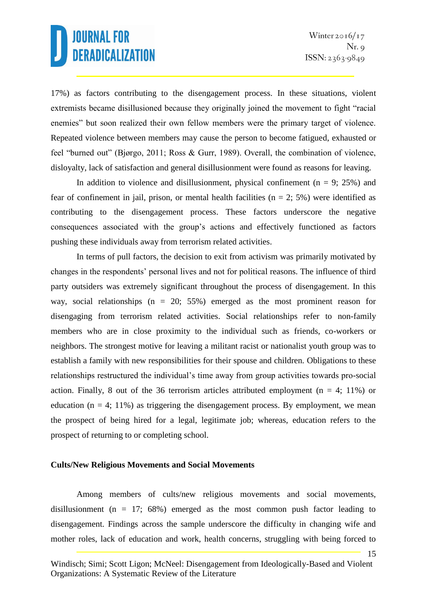15

17%) as factors contributing to the disengagement process. In these situations, violent extremists became disillusioned because they originally joined the movement to fight "racial enemies" but soon realized their own fellow members were the primary target of violence. Repeated violence between members may cause the person to become fatigued, exhausted or feel "burned out" (Bjørgo, 2011; Ross & Gurr, 1989). Overall, the combination of violence, disloyalty, lack of satisfaction and general disillusionment were found as reasons for leaving.

In addition to violence and disillusionment, physical confinement ( $n = 9$ ; 25%) and fear of confinement in jail, prison, or mental health facilities ( $n = 2$ ; 5%) were identified as contributing to the disengagement process. These factors underscore the negative consequences associated with the group's actions and effectively functioned as factors pushing these individuals away from terrorism related activities.

In terms of pull factors, the decision to exit from activism was primarily motivated by changes in the respondents' personal lives and not for political reasons. The influence of third party outsiders was extremely significant throughout the process of disengagement. In this way, social relationships (n = 20; 55%) emerged as the most prominent reason for disengaging from terrorism related activities. Social relationships refer to non-family members who are in close proximity to the individual such as friends, co-workers or neighbors. The strongest motive for leaving a militant racist or nationalist youth group was to establish a family with new responsibilities for their spouse and children. Obligations to these relationships restructured the individual's time away from group activities towards pro-social action. Finally, 8 out of the 36 terrorism articles attributed employment ( $n = 4$ ; 11%) or education ( $n = 4$ ; 11%) as triggering the disengagement process. By employment, we mean the prospect of being hired for a legal, legitimate job; whereas, education refers to the prospect of returning to or completing school.

### **Cults/New Religious Movements and Social Movements**

Among members of cults/new religious movements and social movements, disillusionment (n = 17; 68%) emerged as the most common push factor leading to disengagement. Findings across the sample underscore the difficulty in changing wife and mother roles, lack of education and work, health concerns, struggling with being forced to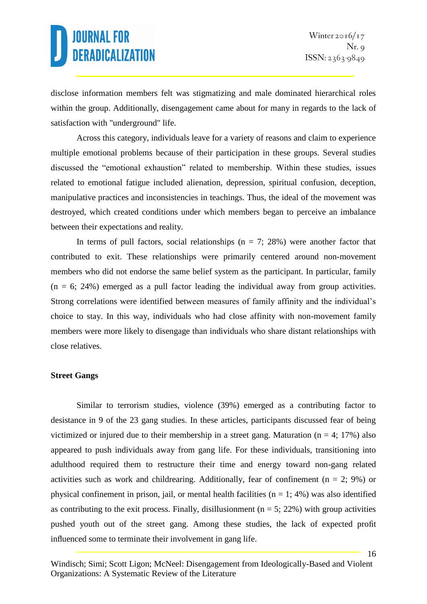disclose information members felt was stigmatizing and male dominated hierarchical roles within the group. Additionally, disengagement came about for many in regards to the lack of satisfaction with "underground" life.

Across this category, individuals leave for a variety of reasons and claim to experience multiple emotional problems because of their participation in these groups. Several studies discussed the "emotional exhaustion" related to membership. Within these studies, issues related to emotional fatigue included alienation, depression, spiritual confusion, deception, manipulative practices and inconsistencies in teachings. Thus, the ideal of the movement was destroyed, which created conditions under which members began to perceive an imbalance between their expectations and reality.

In terms of pull factors, social relationships ( $n = 7$ ; 28%) were another factor that contributed to exit. These relationships were primarily centered around non-movement members who did not endorse the same belief system as the participant. In particular, family  $(n = 6; 24%)$  emerged as a pull factor leading the individual away from group activities. Strong correlations were identified between measures of family affinity and the individual's choice to stay. In this way, individuals who had close affinity with non-movement family members were more likely to disengage than individuals who share distant relationships with close relatives.

### **Street Gangs**

Similar to terrorism studies, violence (39%) emerged as a contributing factor to desistance in 9 of the 23 gang studies. In these articles, participants discussed fear of being victimized or injured due to their membership in a street gang. Maturation ( $n = 4$ ; 17%) also appeared to push individuals away from gang life. For these individuals, transitioning into adulthood required them to restructure their time and energy toward non-gang related activities such as work and childrearing. Additionally, fear of confinement ( $n = 2$ ; 9%) or physical confinement in prison, jail, or mental health facilities  $(n = 1; 4%)$  was also identified as contributing to the exit process. Finally, disillusionment ( $n = 5$ ; 22%) with group activities pushed youth out of the street gang. Among these studies, the lack of expected profit influenced some to terminate their involvement in gang life.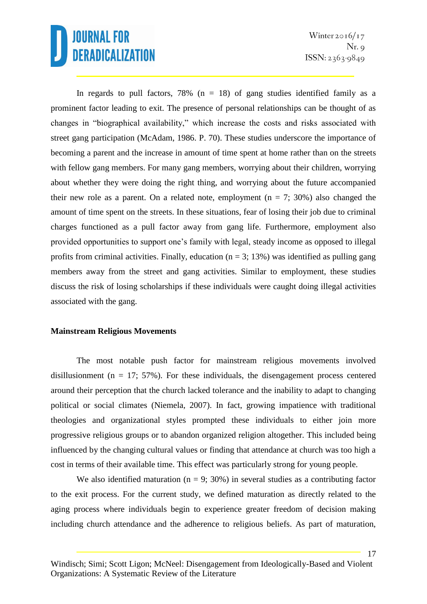In regards to pull factors, 78% ( $n = 18$ ) of gang studies identified family as a prominent factor leading to exit. The presence of personal relationships can be thought of as changes in "biographical availability," which increase the costs and risks associated with street gang participation (McAdam, 1986. P. 70). These studies underscore the importance of becoming a parent and the increase in amount of time spent at home rather than on the streets with fellow gang members. For many gang members, worrying about their children, worrying about whether they were doing the right thing, and worrying about the future accompanied their new role as a parent. On a related note, employment  $(n = 7, 30\%)$  also changed the amount of time spent on the streets. In these situations, fear of losing their job due to criminal charges functioned as a pull factor away from gang life. Furthermore, employment also provided opportunities to support one's family with legal, steady income as opposed to illegal profits from criminal activities. Finally, education ( $n = 3$ ; 13%) was identified as pulling gang members away from the street and gang activities. Similar to employment, these studies discuss the risk of losing scholarships if these individuals were caught doing illegal activities associated with the gang.

### **Mainstream Religious Movements**

The most notable push factor for mainstream religious movements involved disillusionment ( $n = 17$ ; 57%). For these individuals, the disengagement process centered around their perception that the church lacked tolerance and the inability to adapt to changing political or social climates (Niemela, 2007). In fact, growing impatience with traditional theologies and organizational styles prompted these individuals to either join more progressive religious groups or to abandon organized religion altogether. This included being influenced by the changing cultural values or finding that attendance at church was too high a cost in terms of their available time. This effect was particularly strong for young people.

We also identified maturation ( $n = 9$ ; 30%) in several studies as a contributing factor to the exit process. For the current study, we defined maturation as directly related to the aging process where individuals begin to experience greater freedom of decision making including church attendance and the adherence to religious beliefs. As part of maturation,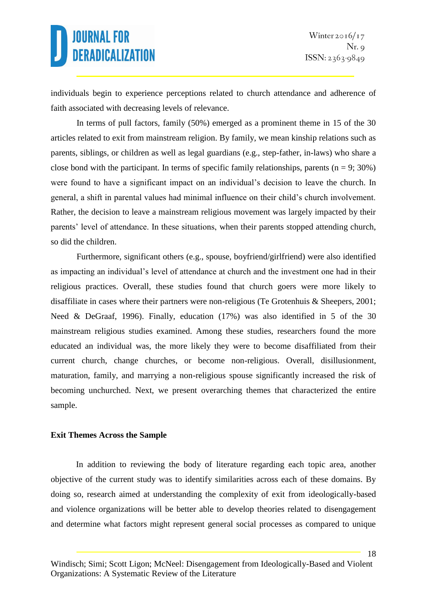individuals begin to experience perceptions related to church attendance and adherence of faith associated with decreasing levels of relevance.

In terms of pull factors, family (50%) emerged as a prominent theme in 15 of the 30 articles related to exit from mainstream religion. By family, we mean kinship relations such as parents, siblings, or children as well as legal guardians (e.g., step-father, in-laws) who share a close bond with the participant. In terms of specific family relationships, parents ( $n = 9$ ; 30%) were found to have a significant impact on an individual's decision to leave the church. In general, a shift in parental values had minimal influence on their child's church involvement. Rather, the decision to leave a mainstream religious movement was largely impacted by their parents' level of attendance. In these situations, when their parents stopped attending church, so did the children.

Furthermore, significant others (e.g., spouse, boyfriend/girlfriend) were also identified as impacting an individual's level of attendance at church and the investment one had in their religious practices. Overall, these studies found that church goers were more likely to disaffiliate in cases where their partners were non-religious (Te Grotenhuis & Sheepers, 2001; Need & DeGraaf, 1996). Finally, education (17%) was also identified in 5 of the 30 mainstream religious studies examined. Among these studies, researchers found the more educated an individual was, the more likely they were to become disaffiliated from their current church, change churches, or become non-religious. Overall, disillusionment, maturation, family, and marrying a non-religious spouse significantly increased the risk of becoming unchurched. Next, we present overarching themes that characterized the entire sample.

### **Exit Themes Across the Sample**

In addition to reviewing the body of literature regarding each topic area, another objective of the current study was to identify similarities across each of these domains. By doing so, research aimed at understanding the complexity of exit from ideologically-based and violence organizations will be better able to develop theories related to disengagement and determine what factors might represent general social processes as compared to unique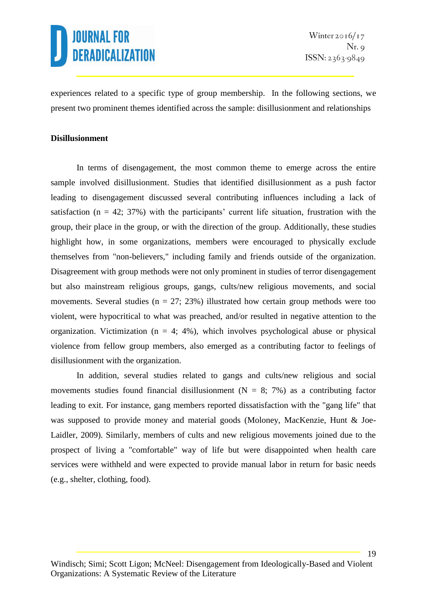experiences related to a specific type of group membership. In the following sections, we present two prominent themes identified across the sample: disillusionment and relationships

### **Disillusionment**

In terms of disengagement, the most common theme to emerge across the entire sample involved disillusionment. Studies that identified disillusionment as a push factor leading to disengagement discussed several contributing influences including a lack of satisfaction ( $n = 42$ ; 37%) with the participants' current life situation, frustration with the group, their place in the group, or with the direction of the group. Additionally, these studies highlight how, in some organizations, members were encouraged to physically exclude themselves from "non-believers," including family and friends outside of the organization. Disagreement with group methods were not only prominent in studies of terror disengagement but also mainstream religious groups, gangs, cults/new religious movements, and social movements. Several studies ( $n = 27$ ; 23%) illustrated how certain group methods were too violent, were hypocritical to what was preached, and/or resulted in negative attention to the organization. Victimization ( $n = 4$ ; 4%), which involves psychological abuse or physical violence from fellow group members, also emerged as a contributing factor to feelings of disillusionment with the organization.

In addition, several studies related to gangs and cults/new religious and social movements studies found financial disillusionment ( $N = 8$ ; 7%) as a contributing factor leading to exit. For instance, gang members reported dissatisfaction with the "gang life" that was supposed to provide money and material goods (Moloney, MacKenzie, Hunt & Joe-Laidler, 2009). Similarly, members of cults and new religious movements joined due to the prospect of living a "comfortable" way of life but were disappointed when health care services were withheld and were expected to provide manual labor in return for basic needs (e.g., shelter, clothing, food).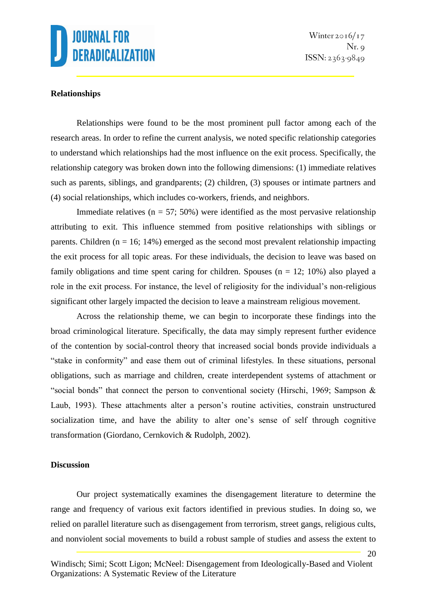

### **Relationships**

Relationships were found to be the most prominent pull factor among each of the research areas. In order to refine the current analysis, we noted specific relationship categories to understand which relationships had the most influence on the exit process. Specifically, the relationship category was broken down into the following dimensions: (1) immediate relatives such as parents, siblings, and grandparents; (2) children, (3) spouses or intimate partners and (4) social relationships, which includes co-workers, friends, and neighbors.

Immediate relatives ( $n = 57$ ; 50%) were identified as the most pervasive relationship attributing to exit. This influence stemmed from positive relationships with siblings or parents. Children ( $n = 16$ ; 14%) emerged as the second most prevalent relationship impacting the exit process for all topic areas. For these individuals, the decision to leave was based on family obligations and time spent caring for children. Spouses  $(n = 12; 10\%)$  also played a role in the exit process. For instance, the level of religiosity for the individual's non-religious significant other largely impacted the decision to leave a mainstream religious movement.

Across the relationship theme, we can begin to incorporate these findings into the broad criminological literature. Specifically, the data may simply represent further evidence of the contention by social-control theory that increased social bonds provide individuals a "stake in conformity" and ease them out of criminal lifestyles. In these situations, personal obligations, such as marriage and children, create interdependent systems of attachment or "social bonds" that connect the person to conventional society (Hirschi, 1969; Sampson & Laub, 1993). These attachments alter a person's routine activities, constrain unstructured socialization time, and have the ability to alter one's sense of self through cognitive transformation (Giordano, Cernkovich & Rudolph, 2002).

### **Discussion**

Our project systematically examines the disengagement literature to determine the range and frequency of various exit factors identified in previous studies. In doing so, we relied on parallel literature such as disengagement from terrorism, street gangs, religious cults, and nonviolent social movements to build a robust sample of studies and assess the extent to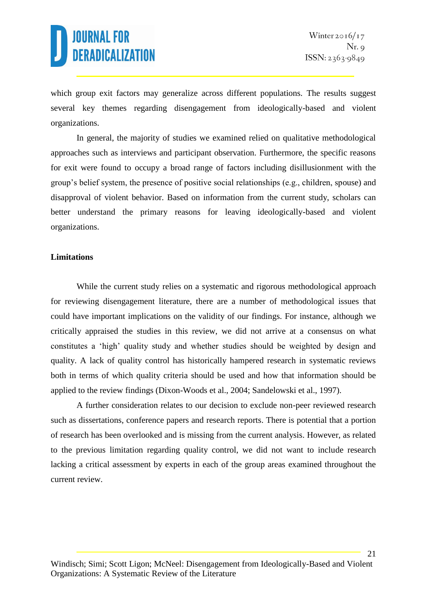21

which group exit factors may generalize across different populations. The results suggest several key themes regarding disengagement from ideologically-based and violent organizations.

In general, the majority of studies we examined relied on qualitative methodological approaches such as interviews and participant observation. Furthermore, the specific reasons for exit were found to occupy a broad range of factors including disillusionment with the group's belief system, the presence of positive social relationships (e.g., children, spouse) and disapproval of violent behavior. Based on information from the current study, scholars can better understand the primary reasons for leaving ideologically-based and violent organizations.

### **Limitations**

While the current study relies on a systematic and rigorous methodological approach for reviewing disengagement literature, there are a number of methodological issues that could have important implications on the validity of our findings. For instance, although we critically appraised the studies in this review, we did not arrive at a consensus on what constitutes a 'high' quality study and whether studies should be weighted by design and quality. A lack of quality control has historically hampered research in systematic reviews both in terms of which quality criteria should be used and how that information should be applied to the review findings (Dixon-Woods et al., 2004; Sandelowski et al., 1997).

A further consideration relates to our decision to exclude non-peer reviewed research such as dissertations, conference papers and research reports. There is potential that a portion of research has been overlooked and is missing from the current analysis. However, as related to the previous limitation regarding quality control, we did not want to include research lacking a critical assessment by experts in each of the group areas examined throughout the current review.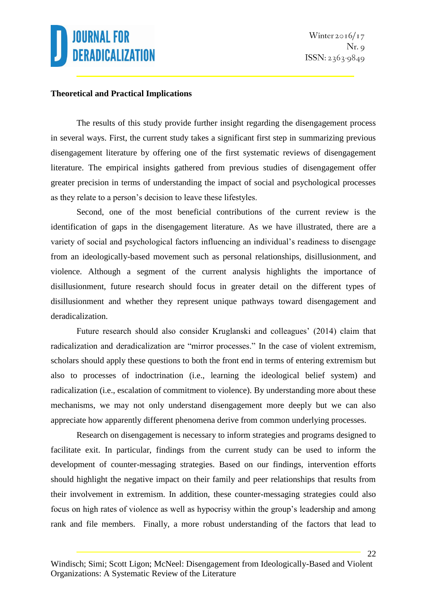### **Theoretical and Practical Implications**

The results of this study provide further insight regarding the disengagement process in several ways. First, the current study takes a significant first step in summarizing previous disengagement literature by offering one of the first systematic reviews of disengagement literature. The empirical insights gathered from previous studies of disengagement offer greater precision in terms of understanding the impact of social and psychological processes as they relate to a person's decision to leave these lifestyles.

Second, one of the most beneficial contributions of the current review is the identification of gaps in the disengagement literature. As we have illustrated, there are a variety of social and psychological factors influencing an individual's readiness to disengage from an ideologically-based movement such as personal relationships, disillusionment, and violence. Although a segment of the current analysis highlights the importance of disillusionment, future research should focus in greater detail on the different types of disillusionment and whether they represent unique pathways toward disengagement and deradicalization.

Future research should also consider Kruglanski and colleagues' (2014) claim that radicalization and deradicalization are "mirror processes." In the case of violent extremism, scholars should apply these questions to both the front end in terms of entering extremism but also to processes of indoctrination (i.e., learning the ideological belief system) and radicalization (i.e., escalation of commitment to violence). By understanding more about these mechanisms, we may not only understand disengagement more deeply but we can also appreciate how apparently different phenomena derive from common underlying processes.

Research on disengagement is necessary to inform strategies and programs designed to facilitate exit. In particular, findings from the current study can be used to inform the development of counter-messaging strategies. Based on our findings, intervention efforts should highlight the negative impact on their family and peer relationships that results from their involvement in extremism. In addition, these counter-messaging strategies could also focus on high rates of violence as well as hypocrisy within the group's leadership and among rank and file members. Finally, a more robust understanding of the factors that lead to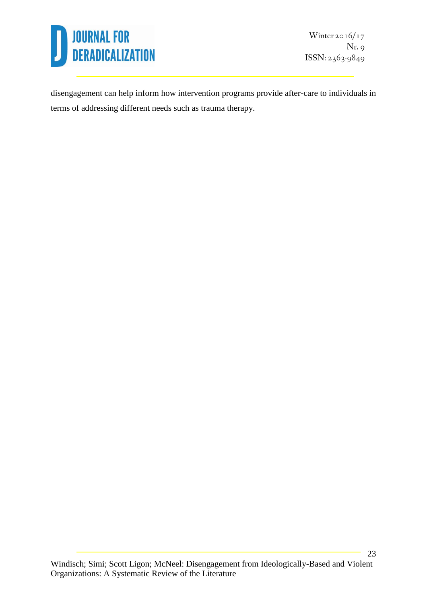

Winter  $2016/17$  $Nr.9$ ISSN: 2363-9849

disengagement can help inform how intervention programs provide after-care to individuals in terms of addressing different needs such as trauma therapy.

Windisch; Simi; Scott Ligon; McNeel: Disengagement from Ideologically-Based and Violent Organizations: A Systematic Review of the Literature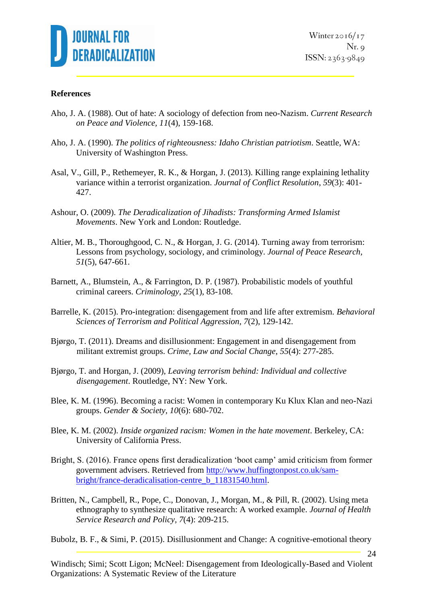

### **References**

- Aho, J. A. (1988). Out of hate: A sociology of defection from neo-Nazism. *Current Research on Peace and Violence, 11*(4), 159-168.
- Aho, J. A. (1990). *The politics of righteousness: Idaho Christian patriotism*. Seattle, WA: University of Washington Press.
- Asal, V., Gill, P., Rethemeyer, R. K., & Horgan, J. (2013). Killing range explaining lethality variance within a terrorist organization. *Journal of Conflict Resolution*, *59*(3): 401- 427.
- Ashour, O. (2009). *The Deradicalization of Jihadists: Transforming Armed Islamist Movements*. New York and London: Routledge.
- Altier, M. B., Thoroughgood, C. N., & Horgan, J. G. (2014). Turning away from terrorism: Lessons from psychology, sociology, and criminology. *Journal of Peace Research, 51*(5), 647-661.
- Barnett, A., Blumstein, A., & Farrington, D. P. (1987). Probabilistic models of youthful criminal careers. *Criminology, 25*(1), 83-108.
- Barrelle, K. (2015). Pro-integration: disengagement from and life after extremism. *Behavioral Sciences of Terrorism and Political Aggression, 7*(2), 129-142.
- Bjørgo, T. (2011). Dreams and disillusionment: Engagement in and disengagement from militant extremist groups. *Crime, Law and Social Change*, *55*(4): 277-285.
- Bjørgo, T. and Horgan, J. (2009), *Leaving terrorism behind: Individual and collective disengagement*. Routledge, NY: New York.
- Blee, K. M. (1996). Becoming a racist: Women in contemporary Ku Klux Klan and neo-Nazi groups. *Gender & Society, 10*(6): 680-702.
- Blee, K. M. (2002). *Inside organized racism: Women in the hate movement*. Berkeley, CA: University of California Press.
- Bright, S. (2016). France opens first deradicalization 'boot camp' amid criticism from former government advisers. Retrieved from [http://www.huffingtonpost.co.uk/sam](http://www.huffingtonpost.co.uk/sam-bright/france-deradicalisation-centre_b_11831540.html)[bright/france-deradicalisation-centre\\_b\\_11831540.html.](http://www.huffingtonpost.co.uk/sam-bright/france-deradicalisation-centre_b_11831540.html)
- Britten, N., Campbell, R., Pope, C., Donovan, J., Morgan, M., & Pill, R. (2002). Using meta ethnography to synthesize qualitative research: A worked example. *Journal of Health Service Research and Policy, 7*(4): 209-215.

Bubolz, B. F., & Simi, P. (2015). Disillusionment and Change: A cognitive-emotional theory

Windisch; Simi; Scott Ligon; McNeel: Disengagement from Ideologically-Based and Violent Organizations: A Systematic Review of the Literature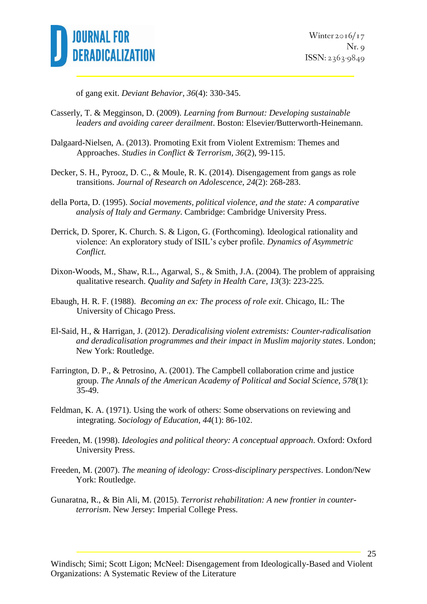

Winter  $2016/17$  $Nr. q$  $ISSN: 2363-9849$ 

25

of gang exit. *Deviant Behavior*, *36*(4): 330-345.

- Casserly, T. & Megginson, D. (2009). *Learning from Burnout: Developing sustainable leaders and avoiding career derailment*. Boston: Elsevier*/*Butterworth-Heinemann.
- Dalgaard-Nielsen, A. (2013). Promoting Exit from Violent Extremism: Themes and Approaches. *Studies in Conflict & Terrorism, 36*(2), 99-115.
- Decker, S. H., Pyrooz, D. C., & Moule, R. K. (2014). Disengagement from gangs as role transitions. *Journal of Research on Adolescence*, *24*(2): 268-283.
- della Porta, D. (1995). *Social movements, political violence, and the state: A comparative analysis of Italy and Germany*. Cambridge: Cambridge University Press.
- Derrick, D. Sporer, K. Church. S. & Ligon, G. (Forthcoming). Ideological rationality and violence: An exploratory study of ISIL's cyber profile. *Dynamics of Asymmetric Conflict.*
- Dixon-Woods, M., Shaw, R.L., Agarwal, S., & Smith, J.A. (2004). The problem of appraising qualitative research. *Quality and Safety in Health Care, 13*(3): 223-225.
- Ebaugh, H. R. F. (1988). *Becoming an ex: The process of role exit*. Chicago, IL: The University of Chicago Press.
- El-Said, H., & Harrigan, J. (2012). *Deradicalising violent extremists: Counter-radicalisation and deradicalisation programmes and their impact in Muslim majority states*. London; New York: Routledge.
- Farrington, D. P., & Petrosino, A. (2001). The Campbell collaboration crime and justice group. *The Annals of the American Academy of Political and Social Science, 578*(1): 35-49.
- Feldman, K. A. (1971). Using the work of others: Some observations on reviewing and integrating. *Sociology of Education*, *44*(1): 86-102.
- Freeden, M. (1998). *Ideologies and political theory: A conceptual approach*. Oxford: Oxford University Press.
- Freeden, M. (2007). *The meaning of ideology: Cross-disciplinary perspectives*. London/New York: Routledge.
- Gunaratna, R., & Bin Ali, M. (2015). *Terrorist rehabilitation: A new frontier in counterterrorism*. New Jersey: Imperial College Press.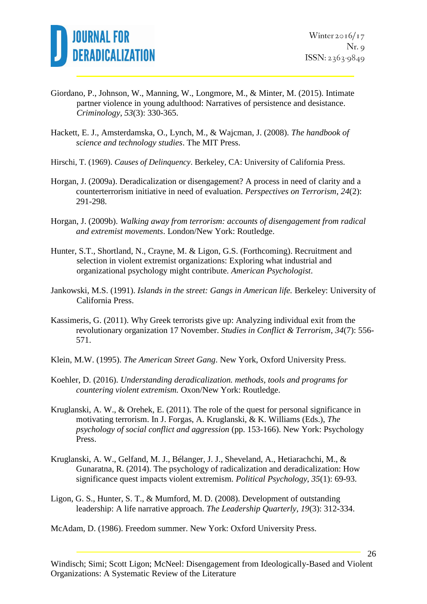

- Giordano, P., Johnson, W., Manning, W., Longmore, M., & Minter, M. (2015). Intimate partner violence in young adulthood: Narratives of persistence and desistance. *Criminology*, *53*(3): 330-365.
- Hackett, E. J., Amsterdamska, O., Lynch, M., & Wajcman, J. (2008). *The handbook of science and technology studies*. The MIT Press.
- Hirschi, T. (1969). *Causes of Delinquency*. Berkeley, CA: University of California Press.
- Horgan, J. (2009a). Deradicalization or disengagement? A process in need of clarity and a counterterrorism initiative in need of evaluation. *Perspectives on Terrorism*, *24*(2): 291-298.
- Horgan, J. (2009b). *Walking away from terrorism: accounts of disengagement from radical and extremist movements*. London/New York: Routledge.
- Hunter, S.T., Shortland, N., Crayne, M. & Ligon, G.S. (Forthcoming). Recruitment and selection in violent extremist organizations: Exploring what industrial and organizational psychology might contribute. *American Psychologist*.
- Jankowski, M.S. (1991). *Islands in the street: Gangs in American life.* Berkeley: University of California Press.
- Kassimeris, G. (2011). Why Greek terrorists give up: Analyzing individual exit from the revolutionary organization 17 November. *Studies in Conflict & Terrorism*, *34*(7): 556- 571.
- Klein, M.W. (1995). *The American Street Gang*. New York, Oxford University Press.
- Koehler, D. (2016). *Understanding deradicalization. methods, tools and programs for countering violent extremism.* Oxon/New York: Routledge.
- Kruglanski, A. W., & Orehek, E. (2011). The role of the quest for personal significance in motivating terrorism. In J. Forgas, A. Kruglanski, & K. Williams (Eds.), *The psychology of social conflict and aggression* (pp. 153-166). New York: Psychology Press.
- Kruglanski, A. W., Gelfand, M. J., Bélanger, J. J., Sheveland, A., Hetiarachchi, M., & Gunaratna, R. (2014). The psychology of radicalization and deradicalization: How significance quest impacts violent extremism. *Political Psychology*, *35*(1): 69-93.
- Ligon, G. S., Hunter, S. T., & Mumford, M. D. (2008). Development of outstanding leadership: A life narrative approach. *The Leadership Quarterly, 19*(3): 312-334.

McAdam, D. (1986). Freedom summer. New York: Oxford University Press.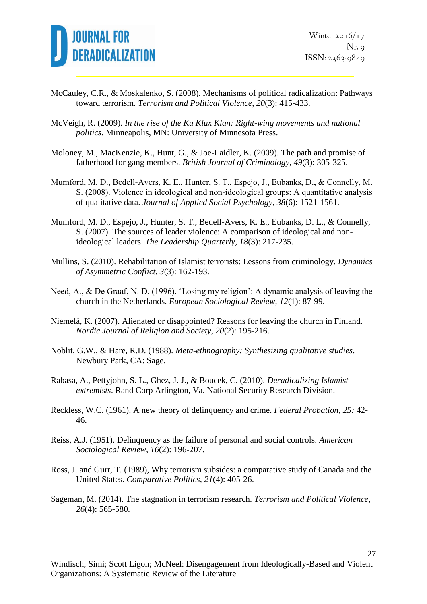

- McCauley, C.R., & Moskalenko, S. (2008). Mechanisms of political radicalization: Pathways toward terrorism. *Terrorism and Political Violence*, *20*(3): 415-433.
- McVeigh, R. (2009). *In the rise of the Ku Klux Klan: Right-wing movements and national politics*. Minneapolis, MN: University of Minnesota Press.
- Moloney, M., MacKenzie, K., Hunt, G., & Joe-Laidler, K. (2009). The path and promise of fatherhood for gang members. *British Journal of Criminology*, *49*(3): 305-325.
- Mumford, M. D., Bedell‐Avers, K. E., Hunter, S. T., Espejo, J., Eubanks, D., & Connelly, M. S. (2008). Violence in ideological and non‐ideological groups: A quantitative analysis of qualitative data. *Journal of Applied Social Psychology*, *38*(6): 1521-1561.
- Mumford, M. D., Espejo, J., Hunter, S. T., Bedell-Avers, K. E., Eubanks, D. L., & Connelly, S. (2007). The sources of leader violence: A comparison of ideological and nonideological leaders. *The Leadership Quarterly, 18*(3): 217-235.
- Mullins, S. (2010). Rehabilitation of Islamist terrorists: Lessons from criminology. *Dynamics of Asymmetric Conflict, 3*(3): 162-193.
- Need, A., & De Graaf, N. D. (1996). 'Losing my religion': A dynamic analysis of leaving the church in the Netherlands. *European Sociological Review*, *12*(1): 87-99.
- Niemelä, K. (2007). Alienated or disappointed? Reasons for leaving the church in Finland. *Nordic Journal of Religion and Society*, *20*(2): 195-216.
- Noblit, G.W., & Hare, R.D. (1988). *Meta-ethnography: Synthesizing qualitative studies*. Newbury Park, CA: Sage.
- Rabasa, A., Pettyjohn, S. L., Ghez, J. J., & Boucek, C. (2010). *Deradicalizing Islamist extremists*. Rand Corp Arlington, Va. National Security Research Division.
- Reckless, W.C. (1961). A new theory of delinquency and crime. *Federal Probation*, *25:* 42- 46.
- Reiss, A.J. (1951). Delinquency as the failure of personal and social controls. *American Sociological Review, 16*(2): 196-207.
- Ross, J. and Gurr, T. (1989), Why terrorism subsides: a comparative study of Canada and the United States. *Comparative Politics*, *21*(4): 405-26.
- Sageman, M. (2014). The stagnation in terrorism research. *Terrorism and Political Violence*, *26*(4): 565-580.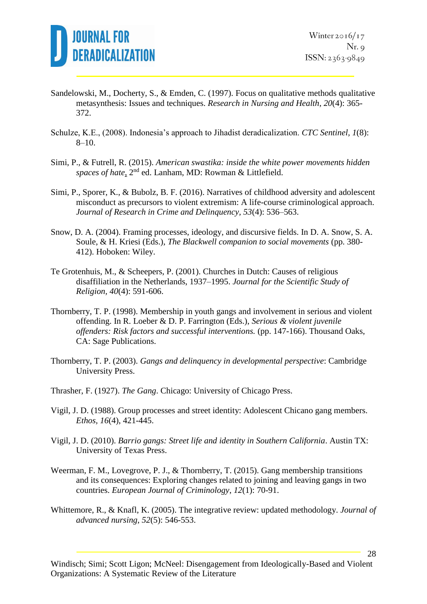

- Sandelowski, M., Docherty, S., & Emden, C. (1997). Focus on qualitative methods qualitative metasynthesis: Issues and techniques. *Research in Nursing and Health*, *20*(4): 365- 372.
- Schulze, K.E., (2008). Indonesia's approach to Jihadist deradicalization. *CTC Sentinel, 1*(8): 8–10.
- Simi, P., & Futrell, R. (2015). *American swastika: inside the white power movements hidden*  spaces of hate, 2<sup>nd</sup> ed. Lanham, MD: Rowman & Littlefield.
- Simi, P., Sporer, K., & Bubolz, B. F. (2016). Narratives of childhood adversity and adolescent misconduct as precursors to violent extremism: A life-course criminological approach. *Journal of Research in Crime and Delinquency, 53*(4): 536–563.
- Snow, D. A. (2004). Framing processes, ideology, and discursive fields. In D. A. Snow, S. A. Soule, & H. Kriesi (Eds.), *The Blackwell companion to social movements* (pp. 380- 412). Hoboken: Wiley.
- Te Grotenhuis, M., & Scheepers, P. (2001). Churches in Dutch: Causes of religious disaffiliation in the Netherlands, 1937–1995. *Journal for the Scientific Study of Religion, 40*(4): 591-606.
- Thornberry, T. P. (1998). Membership in youth gangs and involvement in serious and violent offending. In R. Loeber & D. P. Farrington (Eds.), *Serious & violent juvenile offenders: Risk factors and successful interventions.* (pp. 147-166). Thousand Oaks, CA: Sage Publications.
- Thornberry, T. P. (2003). *Gangs and delinquency in developmental perspective*: Cambridge University Press.
- Thrasher, F. (1927). *The Gang*. Chicago: University of Chicago Press.
- Vigil, J. D. (1988). Group processes and street identity: Adolescent Chicano gang members. *Ethos, 16*(4), 421-445.
- Vigil, J. D. (2010). *Barrio gangs: Street life and identity in Southern California*. Austin TX: University of Texas Press.
- Weerman, F. M., Lovegrove, P. J., & Thornberry, T. (2015). Gang membership transitions and its consequences: Exploring changes related to joining and leaving gangs in two countries. *European Journal of Criminology*, *12*(1): 70-91.
- Whittemore, R., & Knafl, K. (2005). The integrative review: updated methodology. *Journal of advanced nursing*, *52*(5): 546-553.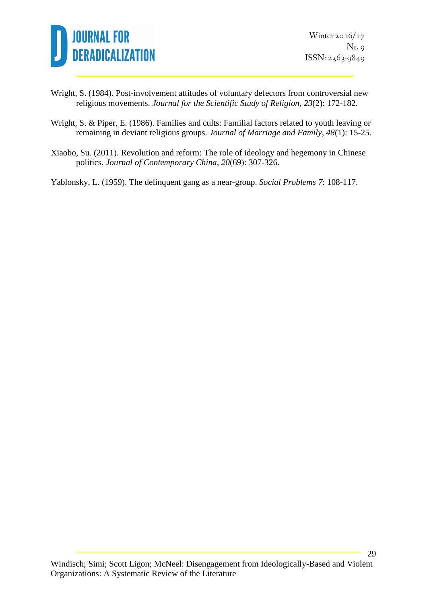

- Wright, S. (1984). Post-involvement attitudes of voluntary defectors from controversial new religious movements. *Journal for the Scientific Study of Religion*, *23*(2): 172-182.
- Wright, S. & Piper, E. (1986). Families and cults: Familial factors related to youth leaving or remaining in deviant religious groups. *Journal of Marriage and Family*, *48*(1): 15-25.
- Xiaobo, Su. (2011). Revolution and reform: The role of ideology and hegemony in Chinese politics. *Journal of Contemporary China*, *20*(69): 307-326.

Yablonsky, L. (1959). The delinquent gang as a near-group. *Social Problems 7*: 108-117.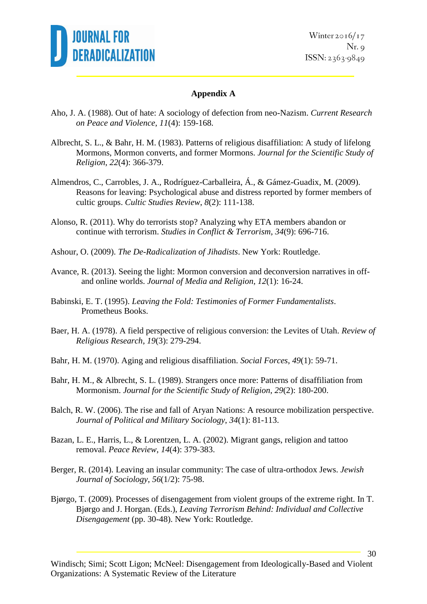

Winter  $2016/17$  $Nr. q$  $ISSN: 2363-9849$ 

### **Appendix A**

- Aho, J. A. (1988). Out of hate: A sociology of defection from neo-Nazism. *Current Research on Peace and Violence*, *11*(4): 159-168.
- Albrecht, S. L., & Bahr, H. M. (1983). Patterns of religious disaffiliation: A study of lifelong Mormons, Mormon converts, and former Mormons. *Journal for the Scientific Study of Religion*, *22*(4): 366-379.
- Almendros, C., Carrobles, J. A., Rodríguez-Carballeira, Á., & Gámez-Guadix, M. (2009). Reasons for leaving: Psychological abuse and distress reported by former members of cultic groups. *Cultic Studies Review*, *8*(2): 111-138.
- Alonso, R. (2011). Why do terrorists stop? Analyzing why ETA members abandon or continue with terrorism. *Studies in Conflict & Terrorism*, *34*(9): 696-716.
- Ashour, O. (2009). *The De-Radicalization of Jihadists*. New York: Routledge.
- Avance, R. (2013). Seeing the light: Mormon conversion and deconversion narratives in offand online worlds. *Journal of Media and Religion*, *12*(1): 16-24.
- Babinski, E. T. (1995). *Leaving the Fold: Testimonies of Former Fundamentalists*. Prometheus Books.
- Baer, H. A. (1978). A field perspective of religious conversion: the Levites of Utah. *Review of Religious Research*, *19*(3): 279-294.
- Bahr, H. M. (1970). Aging and religious disaffiliation. *Social Forces*, *49*(1): 59-71.
- Bahr, H. M., & Albrecht, S. L. (1989). Strangers once more: Patterns of disaffiliation from Mormonism. *Journal for the Scientific Study of Religion*, *29*(2): 180-200.
- Balch, R. W. (2006). The rise and fall of Aryan Nations: A resource mobilization perspective. *Journal of Political and Military Sociology*, *34*(1): 81-113.
- Bazan, L. E., Harris, L., & Lorentzen, L. A. (2002). Migrant gangs, religion and tattoo removal. *Peace Review*, *14*(4): 379-383.
- Berger, R. (2014). Leaving an insular community: The case of ultra-orthodox Jews. *Jewish Journal of Sociology*, *56*(1/2): 75-98.
- Bjørgo, T. (2009). Processes of disengagement from violent groups of the extreme right. In T. Bjørgo and J. Horgan. (Eds.), *Leaving Terrorism Behind: Individual and Collective Disengagement* (pp. 30-48). New York: Routledge.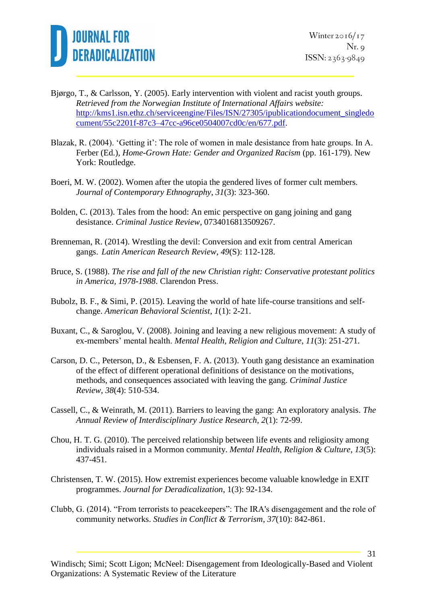

- Bjørgo, T., & Carlsson, Y. (2005). Early intervention with violent and racist youth groups. *Retrieved from the Norwegian Institute of International Affairs website:*  [http://kms1.isn.ethz.ch/serviceengine/Files/ISN/27305/ipublicationdocument\\_singledo](http://kms1.isn.ethz.ch/serviceengine/Files/ISN/27305/ipublicationdocument_singledocument/55c2201f-87c3–47cc-a96ce0504007cd0c/en/677.pdf) [cument/55c2201f-87c3–47cc-a96ce0504007cd0c/en/677.pdf.](http://kms1.isn.ethz.ch/serviceengine/Files/ISN/27305/ipublicationdocument_singledocument/55c2201f-87c3–47cc-a96ce0504007cd0c/en/677.pdf)
- Blazak, R. (2004). 'Getting it': The role of women in male desistance from hate groups. In A. Ferber (Ed.), *Home-Grown Hate: Gender and Organized Racism* (pp. 161-179). New York: Routledge.
- Boeri, M. W. (2002). Women after the utopia the gendered lives of former cult members. *Journal of Contemporary Ethnography*, *31*(3): 323-360.
- Bolden, C. (2013). Tales from the hood: An emic perspective on gang joining and gang desistance. *Criminal Justice Review*, 0734016813509267.
- Brenneman, R. (2014). Wrestling the devil: Conversion and exit from central American gangs. *Latin American Research Review*, *49*(S): 112-128.
- Bruce, S. (1988). *The rise and fall of the new Christian right: Conservative protestant politics in America, 1978-1988*. Clarendon Press.
- Bubolz, B. F., & Simi, P. (2015). Leaving the world of hate life-course transitions and selfchange. *American Behavioral Scientist*, *1*(1): 2-21.
- Buxant, C., & Saroglou, V. (2008). Joining and leaving a new religious movement: A study of ex-members' mental health. *Mental Health, Religion and Culture*, *11*(3): 251-271.
- Carson, D. C., Peterson, D., & Esbensen, F. A. (2013). Youth gang desistance an examination of the effect of different operational definitions of desistance on the motivations, methods, and consequences associated with leaving the gang. *Criminal Justice Review*, *38*(4): 510-534.
- Cassell, C., & Weinrath, M. (2011). Barriers to leaving the gang: An exploratory analysis. *The Annual Review of Interdisciplinary Justice Research*, *2*(1): 72-99.
- Chou, H. T. G. (2010). The perceived relationship between life events and religiosity among individuals raised in a Mormon community. *Mental Health, Religion & Culture*, *13*(5): 437-451.
- Christensen, T. W. (2015). How extremist experiences become valuable knowledge in EXIT programmes. *Journal for Deradicalization*, 1(3): 92-134.
- Clubb, G. (2014). "From terrorists to peacekeepers": The IRA's disengagement and the role of community networks. *Studies in Conflict & Terrorism*, *37*(10): 842-861.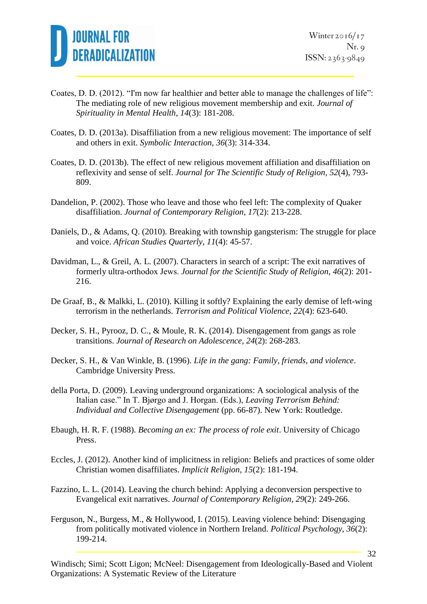

- Coates, D. D. (2012). "I'm now far healthier and better able to manage the challenges of life": The mediating role of new religious movement membership and exit. *Journal of Spirituality in Mental Health*, *14*(3): 181-208.
- Coates, D. D. (2013a). Disaffiliation from a new religious movement: The importance of self and others in exit. *Symbolic Interaction*, *36*(3): 314-334.
- Coates, D. D. (2013b). The effect of new religious movement affiliation and disaffiliation on reflexivity and sense of self. *Journal for The Scientific Study of Religion*, *52*(4), 793- 809.
- Dandelion, P. (2002). Those who leave and those who feel left: The complexity of Quaker disaffiliation. *Journal of Contemporary Religion*, *17*(2): 213-228.
- Daniels, D., & Adams, Q. (2010). Breaking with township gangsterism: The struggle for place and voice. *African Studies Quarterly*, *11*(4): 45-57.
- Davidman, L., & Greil, A. L. (2007). Characters in search of a script: The exit narratives of formerly ultra‐orthodox Jews. *Journal for the Scientific Study of Religion*, *46*(2): 201- 216.
- De Graaf, B., & Malkki, L. (2010). Killing it softly? Explaining the early demise of left-wing terrorism in the netherlands. *Terrorism and Political Violence*, *22*(4): 623-640.
- Decker, S. H., Pyrooz, D. C., & Moule, R. K. (2014). Disengagement from gangs as role transitions. *Journal of Research on Adolescence*, *24*(2): 268-283.
- Decker, S. H., & Van Winkle, B. (1996). *Life in the gang: Family, friends, and violence*. Cambridge University Press.
- della Porta, D. (2009). Leaving underground organizations: A sociological analysis of the Italian case." In T. Bjørgo and J. Horgan. (Eds.), *Leaving Terrorism Behind: Individual and Collective Disengagement* (pp. 66-87). New York: Routledge.
- Ebaugh, H. R. F. (1988). *Becoming an ex: The process of role exit*. University of Chicago Press.
- Eccles, J. (2012). Another kind of implicitness in religion: Beliefs and practices of some older Christian women disaffiliates. *Implicit Religion*, *15*(2): 181-194.
- Fazzino, L. L. (2014). Leaving the church behind: Applying a deconversion perspective to Evangelical exit narratives. *Journal of Contemporary Religion*, *29*(2): 249-266.
- Ferguson, N., Burgess, M., & Hollywood, I. (2015). Leaving violence behind: Disengaging from politically motivated violence in Northern Ireland. *Political Psychology*, *36*(2): 199-214.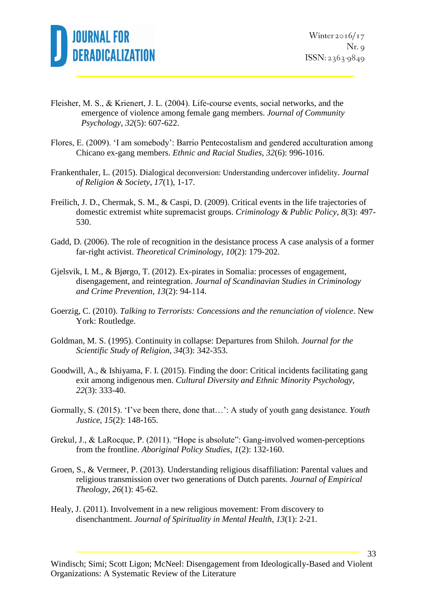

- Fleisher, M. S., & Krienert, J. L. (2004). Life‐course events, social networks, and the emergence of violence among female gang members. *Journal of Community Psychology*, *32*(5): 607-622.
- Flores, E. (2009). 'I am somebody': Barrio Pentecostalism and gendered acculturation among Chicano ex-gang members. *Ethnic and Racial Studies*, *32*(6): 996-1016.
- Frankenthaler, L. (2015). Dialogical deconversion: Understanding undercover infidelity. *Journal of Religion & Society*, *17*(1), 1-17.
- Freilich, J. D., Chermak, S. M., & Caspi, D. (2009). Critical events in the life trajectories of domestic extremist white supremacist groups. *Criminology & Public Policy*, *8*(3): 497- 530.
- Gadd, D. (2006). The role of recognition in the desistance process A case analysis of a former far-right activist. *Theoretical Criminology*, *10*(2): 179-202.
- Gjelsvik, I. M., & Bjørgo, T. (2012). Ex-pirates in Somalia: processes of engagement, disengagement, and reintegration. *Journal of Scandinavian Studies in Criminology and Crime Prevention*, *13*(2): 94-114.
- Goerzig, C. (2010). *Talking to Terrorists: Concessions and the renunciation of violence*. New York: Routledge.
- Goldman, M. S. (1995). Continuity in collapse: Departures from Shiloh. *Journal for the Scientific Study of Religion*, *34*(3): 342-353.
- Goodwill, A., & Ishiyama, F. I. (2015). Finding the door: Critical incidents facilitating gang exit among indigenous men. *Cultural Diversity and Ethnic Minority Psychology*, *22*(3): 333-40.
- Gormally, S. (2015). 'I've been there, done that…': A study of youth gang desistance. *Youth Justice*, *15*(2): 148-165.
- Grekul, J., & LaRocque, P. (2011). "Hope is absolute": Gang-involved women-perceptions from the frontline. *Aboriginal Policy Studies*, *1*(2): 132-160.
- Groen, S., & Vermeer, P. (2013). Understanding religious disaffiliation: Parental values and religious transmission over two generations of Dutch parents. *Journal of Empirical Theology*, *26*(1): 45-62.
- Healy, J. (2011). Involvement in a new religious movement: From discovery to disenchantment. *Journal of Spirituality in Mental Health*, *13*(1): 2-21.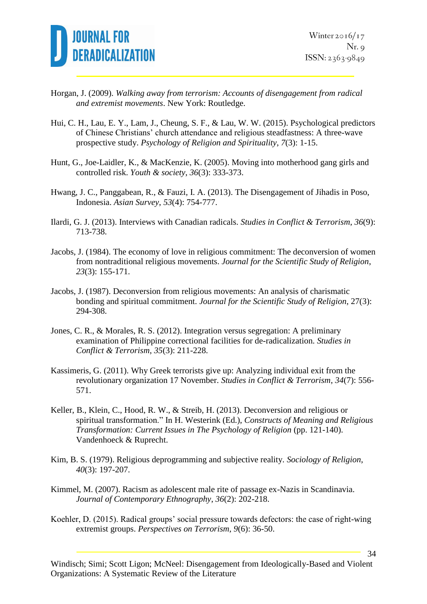

- Horgan, J. (2009). *Walking away from terrorism: Accounts of disengagement from radical and extremist movements*. New York: Routledge.
- Hui, C. H., Lau, E. Y., Lam, J., Cheung, S. F., & Lau, W. W. (2015). Psychological predictors of Chinese Christians' church attendance and religious steadfastness: A three-wave prospective study. *Psychology of Religion and Spirituality*, *7*(3): 1-15.
- Hunt, G., Joe-Laidler, K., & MacKenzie, K. (2005). Moving into motherhood gang girls and controlled risk. *Youth & society*, *36*(3): 333-373.
- Hwang, J. C., Panggabean, R., & Fauzi, I. A. (2013). The Disengagement of Jihadis in Poso, Indonesia. *Asian Survey*, *53*(4): 754-777.
- Ilardi, G. J. (2013). Interviews with Canadian radicals. *Studies in Conflict & Terrorism*, *36*(9): 713-738.
- Jacobs, J. (1984). The economy of love in religious commitment: The deconversion of women from nontraditional religious movements. *Journal for the Scientific Study of Religion*, *23*(3): 155-171.
- Jacobs, J. (1987). Deconversion from religious movements: An analysis of charismatic bonding and spiritual commitment. *Journal for the Scientific Study of Religion*, 27(3): 294-308.
- Jones, C. R., & Morales, R. S. (2012). Integration versus segregation: A preliminary examination of Philippine correctional facilities for de-radicalization. *Studies in Conflict & Terrorism*, *35*(3): 211-228.
- Kassimeris, G. (2011). Why Greek terrorists give up: Analyzing individual exit from the revolutionary organization 17 November. *Studies in Conflict & Terrorism*, *34*(7): 556- 571.
- Keller, B., Klein, C., Hood, R. W., & Streib, H. (2013). Deconversion and religious or spiritual transformation." In H. Westerink (Ed.), *Constructs of Meaning and Religious Transformation: Current Issues in The Psychology of Religion* (pp. 121-140). Vandenhoeck & Ruprecht.
- Kim, B. S. (1979). Religious deprogramming and subjective reality. *Sociology of Religion*, *40*(3): 197-207.
- Kimmel, M. (2007). Racism as adolescent male rite of passage ex-Nazis in Scandinavia. *Journal of Contemporary Ethnography*, *36*(2): 202-218.
- Koehler, D. (2015). Radical groups' social pressure towards defectors: the case of right-wing extremist groups. *Perspectives on Terrorism*, *9*(6): 36-50.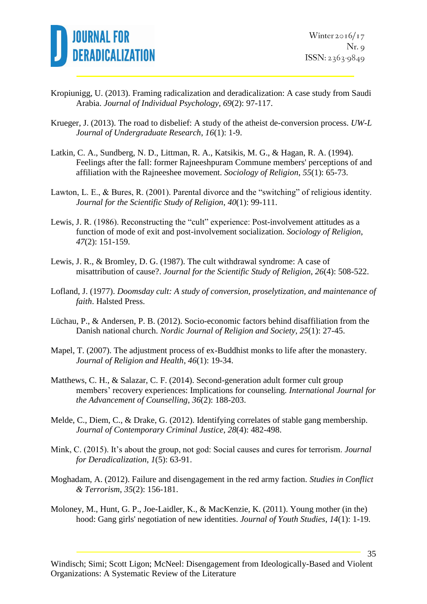

- Kropiunigg, U. (2013). Framing radicalization and deradicalization: A case study from Saudi Arabia. *Journal of Individual Psychology*, *69*(2): 97-117.
- Krueger, J. (2013). The road to disbelief: A study of the atheist de-conversion process. *UW-L Journal of Undergraduate Research*, *16*(1): 1-9.
- Latkin, C. A., Sundberg, N. D., Littman, R. A., Katsikis, M. G., & Hagan, R. A. (1994). Feelings after the fall: former Rajneeshpuram Commune members' perceptions of and affiliation with the Rajneeshee movement. *Sociology of Religion*, *55*(1): 65-73.
- Lawton, L. E., & Bures, R. (2001). Parental divorce and the "switching" of religious identity. *Journal for the Scientific Study of Religion*, *40*(1): 99-111.
- Lewis, J. R. (1986). Reconstructing the "cult" experience: Post-involvement attitudes as a function of mode of exit and post-involvement socialization. *Sociology of Religion*, *47*(2): 151-159.
- Lewis, J. R., & Bromley, D. G. (1987). The cult withdrawal syndrome: A case of misattribution of cause?. *Journal for the Scientific Study of Religion*, *26*(4): 508-522.
- Lofland, J. (1977). *Doomsday cult: A study of conversion, proselytization, and maintenance of faith*. Halsted Press.
- Lüchau, P., & Andersen, P. B. (2012). Socio-economic factors behind disaffiliation from the Danish national church. *Nordic Journal of Religion and Society*, *25*(1): 27-45.
- Mapel, T. (2007). The adjustment process of ex-Buddhist monks to life after the monastery. *Journal of Religion and Health*, *46*(1): 19-34.
- Matthews, C. H., & Salazar, C. F. (2014). Second-generation adult former cult group members' recovery experiences: Implications for counseling. *International Journal for the Advancement of Counselling*, *36*(2): 188-203.
- Melde, C., Diem, C., & Drake, G. (2012). Identifying correlates of stable gang membership. *Journal of Contemporary Criminal Justice*, *28*(4): 482-498.
- Mink, C. (2015). It's about the group, not god: Social causes and cures for terrorism. *Journal for Deradicalization*, *1*(5): 63-91.
- Moghadam, A. (2012). Failure and disengagement in the red army faction. *Studies in Conflict & Terrorism*, *35*(2): 156-181.
- Moloney, M., Hunt, G. P., Joe-Laidler, K., & MacKenzie, K. (2011). Young mother (in the) hood: Gang girls' negotiation of new identities. *Journal of Youth Studies*, *14*(1): 1-19.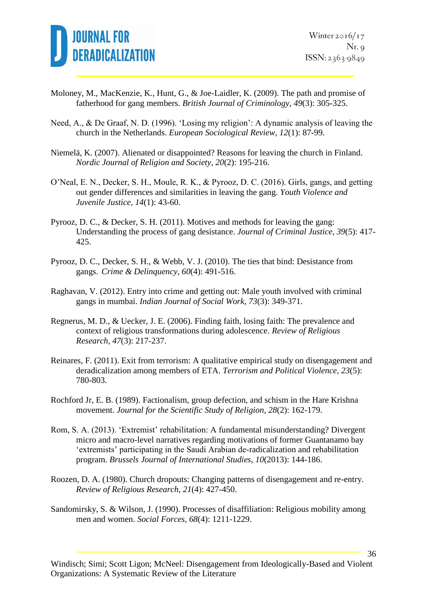

- Moloney, M., MacKenzie, K., Hunt, G., & Joe-Laidler, K. (2009). The path and promise of fatherhood for gang members. *British Journal of Criminology*, *49*(3): 305-325.
- Need, A., & De Graaf, N. D. (1996). 'Losing my religion': A dynamic analysis of leaving the church in the Netherlands. *European Sociological Review*, *12*(1): 87-99.
- Niemelä, K. (2007). Alienated or disappointed? Reasons for leaving the church in Finland. *Nordic Journal of Religion and Society*, *20*(2): 195-216.
- O'Neal, E. N., Decker, S. H., Moule, R. K., & Pyrooz, D. C. (2016). Girls, gangs, and getting out gender differences and similarities in leaving the gang. *Youth Violence and Juvenile Justice*, *14*(1): 43-60.
- Pyrooz, D. C., & Decker, S. H. (2011). Motives and methods for leaving the gang: Understanding the process of gang desistance. *Journal of Criminal Justice*, *39*(5): 417- 425.
- Pyrooz, D. C., Decker, S. H., & Webb, V. J. (2010). The ties that bind: Desistance from gangs. *Crime & Delinquency*, *60*(4): 491-516.
- Raghavan, V. (2012). Entry into crime and getting out: Male youth involved with criminal gangs in mumbai. *Indian Journal of Social Work*, *73*(3): 349-371.
- Regnerus, M. D., & Uecker, J. E. (2006). Finding faith, losing faith: The prevalence and context of religious transformations during adolescence. *Review of Religious Research*, *47*(3): 217-237.
- Reinares, F. (2011). Exit from terrorism: A qualitative empirical study on disengagement and deradicalization among members of ETA. *Terrorism and Political Violence*, *23*(5): 780-803.
- Rochford Jr, E. B. (1989). Factionalism, group defection, and schism in the Hare Krishna movement. *Journal for the Scientific Study of Religion*, *28*(2): 162-179.
- Rom, S. A. (2013). 'Extremist' rehabilitation: A fundamental misunderstanding? Divergent micro and macro-level narratives regarding motivations of former Guantanamo bay 'extremists' participating in the Saudi Arabian de-radicalization and rehabilitation program. *Brussels Journal of International Studies*, *10*(2013): 144-186.
- Roozen, D. A. (1980). Church dropouts: Changing patterns of disengagement and re-entry. *Review of Religious Research*, *21*(4): 427-450.
- Sandomirsky, S. & Wilson, J. (1990). Processes of disaffiliation: Religious mobility among men and women. *Social Forces*, *68*(4): 1211-1229.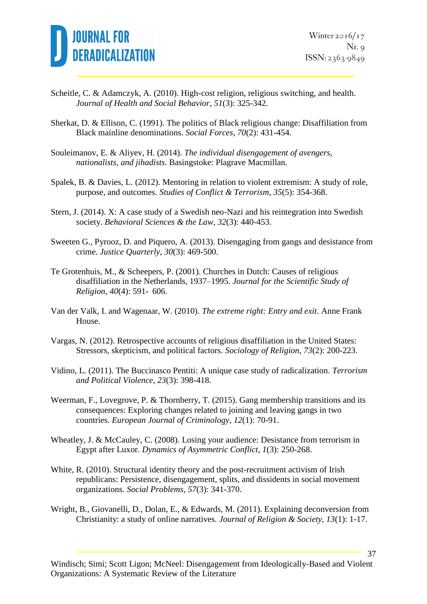

- Scheitle, C. & Adamczyk, A. (2010). High-cost religion, religious switching, and health. *Journal of Health and Social Behavior*, *51*(3): 325-342.
- Sherkat, D. & Ellison, C. (1991). The politics of Black religious change: Disaffiliation from Black mainline denominations. *Social Forces*, *70*(2): 431-454.
- Souleimanov, E. & Aliyev, H. (2014). *The individual disengagement of avengers, nationalists, and jihadists*. Basingstoke: Plagrave Macmillan.
- Spalek, B. & Davies, L. (2012). Mentoring in relation to violent extremism: A study of role, purpose, and outcomes. *Studies of Conflict & Terrorism*, *35*(5): 354-368.
- Stern, J. (2014). X: A case study of a Swedish neo-Nazi and his reintegration into Swedish society. *Behavioral Sciences & the Law*, *32*(3): 440-453.
- Sweeten G., Pyrooz, D. and Piquero, A. (2013). Disengaging from gangs and desistance from crime. *Justice Quarterly*, *30*(3): 469-500.
- Te Grotenhuis, M., & Scheepers, P. (2001). Churches in Dutch: Causes of religious disaffiliation in the Netherlands, 1937–1995. *Journal for the Scientific Study of Religion*, *40*(4): 591- 606.
- Van der Valk, I. and Wagenaar, W. (2010). *The extreme right: Entry and exit*. Anne Frank House.
- Vargas, N. (2012). Retrospective accounts of religious disaffiliation in the United States: Stressors, skepticism, and political factors. *Sociology of Religion*, *73*(2): 200-223.
- Vidino, L. (2011). The Buccinasco Pentiti: A unique case study of radicalization. *Terrorism and Political Violence*, *23*(3): 398-418.
- Weerman, F., Lovegrove, P. & Thornberry, T. (2015). Gang membership transitions and its consequences: Exploring changes related to joining and leaving gangs in two countries. *European Journal of Criminology*, *12*(1): 70-91.
- Wheatley, J. & McCauley, C. (2008). Losing your audience: Desistance from terrorism in Egypt after Luxor. *Dynamics of Asymmetric Conflict*, *1*(3): 250-268.
- White, R. (2010). Structural identity theory and the post-recruitment activism of Irish republicans: Persistence, disengagement, splits, and dissidents in social movement organizations. *Social Problems, 57*(3): 341-370.
- Wright, B., Giovanelli, D., Dolan, E., & Edwards, M. (2011). Explaining deconversion from Christianity: a study of online narratives. *Journal of Religion & Society*, *13*(1): 1-17.